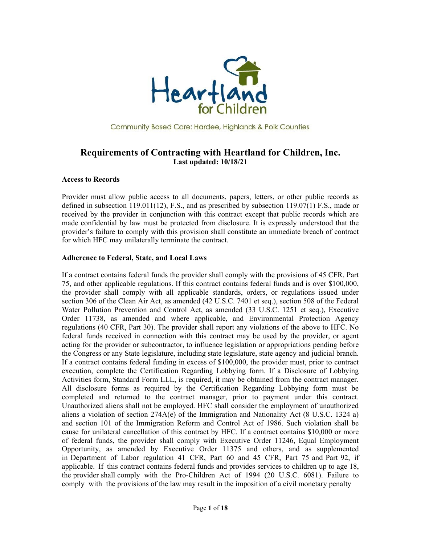

Community Based Care: Hardee, Highlands & Polk Counties

# **Requirements of Contracting with Heartland for Children, Inc. Last updated: 10/18/21**

#### **Access to Records**

Provider must allow public access to all documents, papers, letters, or other public records as defined in subsection 119.011(12), F.S., and as prescribed by subsection 119.07(1) F.S., made or received by the provider in conjunction with this contract except that public records which are made confidential by law must be protected from disclosure. It is expressly understood that the provider's failure to comply with this provision shall constitute an immediate breach of contract for which HFC may unilaterally terminate the contract.

#### **Adherence to Federal, State, and Local Laws**

If a contract contains federal funds the provider shall comply with the provisions of 45 CFR, Part 75, and other applicable regulations. If this contract contains federal funds and is over \$100,000, the provider shall comply with all applicable standards, orders, or regulations issued under section 306 of the Clean Air Act, as amended (42 U.S.C. 7401 et seq.), section 508 of the Federal Water Pollution Prevention and Control Act, as amended (33 U.S.C. 1251 et seq.), Executive Order 11738, as amended and where applicable, and Environmental Protection Agency regulations (40 CFR, Part 30). The provider shall report any violations of the above to HFC. No federal funds received in connection with this contract may be used by the provider, or agent acting for the provider or subcontractor, to influence legislation or appropriations pending before the Congress or any State legislature, including state legislature, state agency and judicial branch. If a contract contains federal funding in excess of \$100,000, the provider must, prior to contract execution, complete the Certification Regarding Lobbying form. If a Disclosure of Lobbying Activities form, Standard Form LLL, is required, it may be obtained from the contract manager. All disclosure forms as required by the Certification Regarding Lobbying form must be completed and returned to the contract manager, prior to payment under this contract. Unauthorized aliens shall not be employed. HFC shall consider the employment of unauthorized aliens a violation of section 274A(e) of the Immigration and Nationality Act (8 U.S.C. 1324 a) and section 101 of the Immigration Reform and Control Act of 1986. Such violation shall be cause for unilateral cancellation of this contract by HFC. If a contract contains \$10,000 or more of federal funds, the provider shall comply with Executive Order 11246, Equal Employment Opportunity, as amended by Executive Order 11375 and others, and as supplemented in Department of Labor regulation 41 CFR, Part 60 and 45 CFR, Part 75 and Part 92, if applicable. If this contract contains federal funds and provides services to children up to age 18, the provider shall comply with the Pro-Children Act of 1994 (20 U.S.C. 6081). Failure to comply with the provisions of the law may result in the imposition of a civil monetary penalty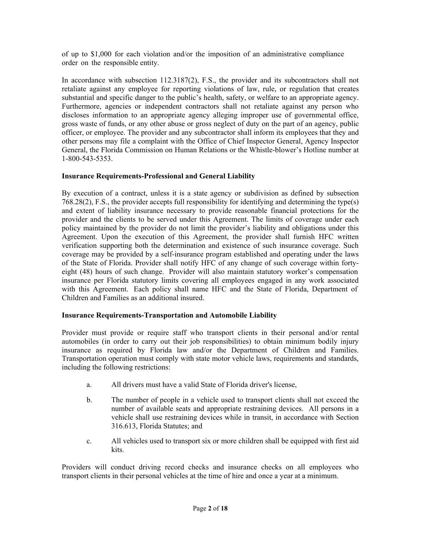of up to \$1,000 for each violation and/or the imposition of an administrative compliance order on the responsible entity.

In accordance with subsection 112.3187(2), F.S., the provider and its subcontractors shall not retaliate against any employee for reporting violations of law, rule, or regulation that creates substantial and specific danger to the public's health, safety, or welfare to an appropriate agency. Furthermore, agencies or independent contractors shall not retaliate against any person who discloses information to an appropriate agency alleging improper use of governmental office, gross waste of funds, or any other abuse or gross neglect of duty on the part of an agency, public officer, or employee. The provider and any subcontractor shall inform its employees that they and other persons may file a complaint with the Office of Chief Inspector General, Agency Inspector General, the Florida Commission on Human Relations or the Whistle-blower's Hotline number at 1-800-543-5353.

# **Insurance Requirements-Professional and General Liability**

By execution of a contract, unless it is a state agency or subdivision as defined by subsection 768.28(2), F.S., the provider accepts full responsibility for identifying and determining the type(s) and extent of liability insurance necessary to provide reasonable financial protections for the provider and the clients to be served under this Agreement. The limits of coverage under each policy maintained by the provider do not limit the provider's liability and obligations under this Agreement. Upon the execution of this Agreement, the provider shall furnish HFC written verification supporting both the determination and existence of such insurance coverage. Such coverage may be provided by a self-insurance program established and operating under the laws of the State of Florida. Provider shall notify HFC of any change of such coverage within fortyeight (48) hours of such change. Provider will also maintain statutory worker's compensation insurance per Florida statutory limits covering all employees engaged in any work associated with this Agreement. Each policy shall name HFC and the State of Florida, Department of Children and Families as an additional insured.

#### **Insurance Requirements-Transportation and Automobile Liability**

Provider must provide or require staff who transport clients in their personal and/or rental automobiles (in order to carry out their job responsibilities) to obtain minimum bodily injury insurance as required by Florida law and/or the Department of Children and Families. Transportation operation must comply with state motor vehicle laws, requirements and standards, including the following restrictions:

- a. All drivers must have a valid State of Florida driver's license,
- b. The number of people in a vehicle used to transport clients shall not exceed the number of available seats and appropriate restraining devices. All persons in a vehicle shall use restraining devices while in transit, in accordance with Section 316.613, Florida Statutes; and
- c. All vehicles used to transport six or more children shall be equipped with first aid kits.

Providers will conduct driving record checks and insurance checks on all employees who transport clients in their personal vehicles at the time of hire and once a year at a minimum.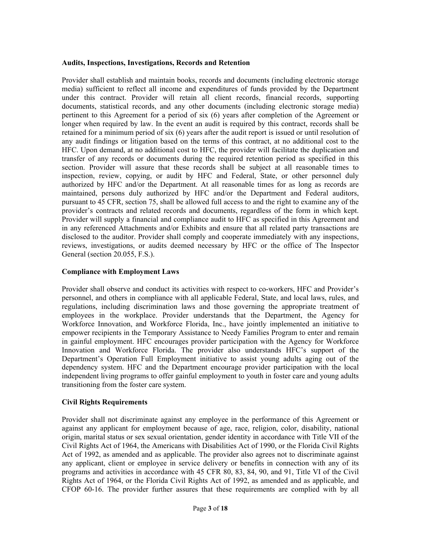## **Audits, Inspections, Investigations, Records and Retention**

Provider shall establish and maintain books, records and documents (including electronic storage media) sufficient to reflect all income and expenditures of funds provided by the Department under this contract. Provider will retain all client records, financial records, supporting documents, statistical records, and any other documents (including electronic storage media) pertinent to this Agreement for a period of six (6) years after completion of the Agreement or longer when required by law. In the event an audit is required by this contract, records shall be retained for a minimum period of six (6) years after the audit report is issued or until resolution of any audit findings or litigation based on the terms of this contract, at no additional cost to the HFC. Upon demand, at no additional cost to HFC, the provider will facilitate the duplication and transfer of any records or documents during the required retention period as specified in this section. Provider will assure that these records shall be subject at all reasonable times to inspection, review, copying, or audit by HFC and Federal, State, or other personnel duly authorized by HFC and/or the Department. At all reasonable times for as long as records are maintained, persons duly authorized by HFC and/or the Department and Federal auditors, pursuant to 45 CFR, section 75, shall be allowed full access to and the right to examine any of the provider's contracts and related records and documents, regardless of the form in which kept. Provider will supply a financial and compliance audit to HFC as specified in this Agreement and in any referenced Attachments and/or Exhibits and ensure that all related party transactions are disclosed to the auditor. Provider shall comply and cooperate immediately with any inspections, reviews, investigations, or audits deemed necessary by HFC or the office of The Inspector General (section 20.055, F.S.).

## **Compliance with Employment Laws**

Provider shall observe and conduct its activities with respect to co-workers, HFC and Provider's personnel, and others in compliance with all applicable Federal, State, and local laws, rules, and regulations, including discrimination laws and those governing the appropriate treatment of employees in the workplace. Provider understands that the Department, the Agency for Workforce Innovation, and Workforce Florida, Inc., have jointly implemented an initiative to empower recipients in the Temporary Assistance to Needy Families Program to enter and remain in gainful employment. HFC encourages provider participation with the Agency for Workforce Innovation and Workforce Florida. The provider also understands HFC's support of the Department's Operation Full Employment initiative to assist young adults aging out of the dependency system. HFC and the Department encourage provider participation with the local independent living programs to offer gainful employment to youth in foster care and young adults transitioning from the foster care system.

# **Civil Rights Requirements**

Provider shall not discriminate against any employee in the performance of this Agreement or against any applicant for employment because of age, race, religion, color, disability, national origin, marital status or sex sexual orientation, gender identity in accordance with Title VII of the Civil Rights Act of 1964, the Americans with Disabilities Act of 1990, or the Florida Civil Rights Act of 1992, as amended and as applicable. The provider also agrees not to discriminate against any applicant, client or employee in service delivery or benefits in connection with any of its programs and activities in accordance with 45 CFR 80, 83, 84, 90, and 91, Title VI of the Civil Rights Act of 1964, or the Florida Civil Rights Act of 1992, as amended and as applicable, and CFOP 60-16. The provider further assures that these requirements are complied with by all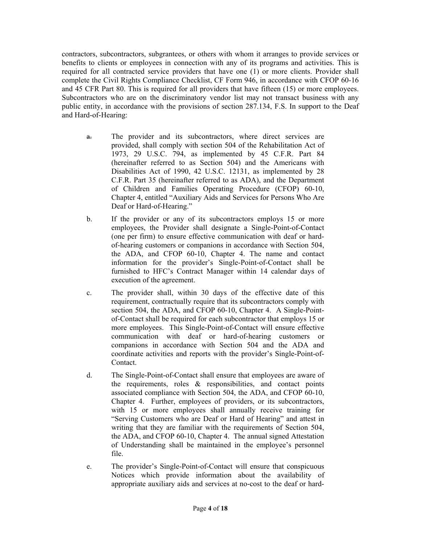contractors, subcontractors, subgrantees, or others with whom it arranges to provide services or benefits to clients or employees in connection with any of its programs and activities. This is required for all contracted service providers that have one (1) or more clients. Provider shall complete the Civil Rights Compliance Checklist, CF Form 946, in accordance with CFOP 60-16 and 45 CFR Part 80. This is required for all providers that have fifteen (15) or more employees. Subcontractors who are on the discriminatory vendor list may not transact business with any public entity, in accordance with the provisions of section 287.134, F.S. In support to the Deaf and Hard-of-Hearing:

- a. The provider and its subcontractors, where direct services are provided, shall comply with section 504 of the Rehabilitation Act of 1973, 29 U.S.C. 794, as implemented by 45 C.F.R. Part 84 (hereinafter referred to as Section 504) and the Americans with Disabilities Act of 1990, 42 U.S.C. 12131, as implemented by 28 C.F.R. Part 35 (hereinafter referred to as ADA), and the Department of Children and Families Operating Procedure (CFOP) 60-10, Chapter 4, entitled "Auxiliary Aids and Services for Persons Who Are Deaf or Hard-of-Hearing."
- b. If the provider or any of its subcontractors employs 15 or more employees, the Provider shall designate a Single-Point-of-Contact (one per firm) to ensure effective communication with deaf or hardof-hearing customers or companions in accordance with Section 504, the ADA, and CFOP 60-10, Chapter 4. The name and contact information for the provider's Single-Point-of-Contact shall be furnished to HFC's Contract Manager within 14 calendar days of execution of the agreement.
- c. The provider shall, within 30 days of the effective date of this requirement, contractually require that its subcontractors comply with section 504, the ADA, and CFOP 60-10, Chapter 4. A Single-Pointof-Contact shall be required for each subcontractor that employs 15 or more employees. This Single-Point-of-Contact will ensure effective communication with deaf or hard-of-hearing customers or companions in accordance with Section 504 and the ADA and coordinate activities and reports with the provider's Single-Point-of-Contact.
- d. The Single-Point-of-Contact shall ensure that employees are aware of the requirements, roles & responsibilities, and contact points associated compliance with Section 504, the ADA, and CFOP 60-10, Chapter 4. Further, employees of providers, or its subcontractors, with 15 or more employees shall annually receive training for "Serving Customers who are Deaf or Hard of Hearing" and attest in writing that they are familiar with the requirements of Section 504, the ADA, and CFOP 60-10, Chapter 4. The annual signed Attestation of Understanding shall be maintained in the employee's personnel file.
- e. The provider's Single-Point-of-Contact will ensure that conspicuous Notices which provide information about the availability of appropriate auxiliary aids and services at no-cost to the deaf or hard-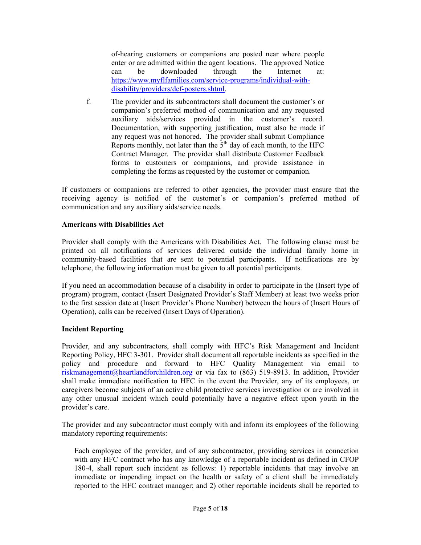of-hearing customers or companions are posted near where people enter or are admitted within the agent locations. The approved Notice can be downloaded through the Internet at: https://www.myflfamilies.com/service-programs/individual-withdisability/providers/dcf-posters.shtml.

f. The provider and its subcontractors shall document the customer's or companion's preferred method of communication and any requested auxiliary aids/services provided in the customer's record. Documentation, with supporting justification, must also be made if any request was not honored. The provider shall submit Compliance Reports monthly, not later than the  $5<sup>th</sup>$  day of each month, to the HFC Contract Manager. The provider shall distribute Customer Feedback forms to customers or companions, and provide assistance in completing the forms as requested by the customer or companion.

If customers or companions are referred to other agencies, the provider must ensure that the receiving agency is notified of the customer's or companion's preferred method of communication and any auxiliary aids/service needs.

## **Americans with Disabilities Act**

Provider shall comply with the Americans with Disabilities Act. The following clause must be printed on all notifications of services delivered outside the individual family home in community-based facilities that are sent to potential participants. If notifications are by telephone, the following information must be given to all potential participants.

If you need an accommodation because of a disability in order to participate in the (Insert type of program) program, contact (Insert Designated Provider's Staff Member) at least two weeks prior to the first session date at (Insert Provider's Phone Number) between the hours of (Insert Hours of Operation), calls can be received (Insert Days of Operation).

#### **Incident Reporting**

Provider, and any subcontractors, shall comply with HFC's Risk Management and Incident Reporting Policy, HFC 3-301. Provider shall document all reportable incidents as specified in the policy and procedure and forward to HFC Quality Management via email to riskmanagement@heartlandforchildren.org or via fax to (863) 519-8913. In addition, Provider shall make immediate notification to HFC in the event the Provider, any of its employees, or caregivers become subjects of an active child protective services investigation or are involved in any other unusual incident which could potentially have a negative effect upon youth in the provider's care.

The provider and any subcontractor must comply with and inform its employees of the following mandatory reporting requirements:

Each employee of the provider, and of any subcontractor, providing services in connection with any HFC contract who has any knowledge of a reportable incident as defined in CFOP 180-4, shall report such incident as follows: 1) reportable incidents that may involve an immediate or impending impact on the health or safety of a client shall be immediately reported to the HFC contract manager; and 2) other reportable incidents shall be reported to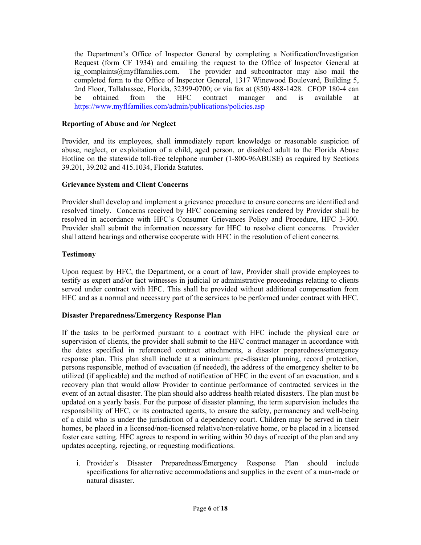the Department's Office of Inspector General by completing a Notification/Investigation Request (form CF 1934) and emailing the request to the Office of Inspector General at ig complaints@myflfamilies.com. The provider and subcontractor may also mail the completed form to the Office of Inspector General, 1317 Winewood Boulevard, Building 5, 2nd Floor, Tallahassee, Florida, 32399-0700; or via fax at (850) 488-1428. CFOP 180-4 can be obtained from the HFC contract manager and is available at https://www.myflfamilies.com/admin/publications/policies.asp

# **Reporting of Abuse and /or Neglect**

Provider, and its employees, shall immediately report knowledge or reasonable suspicion of abuse, neglect, or exploitation of a child, aged person, or disabled adult to the Florida Abuse Hotline on the statewide toll-free telephone number (1-800-96ABUSE) as required by Sections 39.201, 39.202 and 415.1034, Florida Statutes.

## **Grievance System and Client Concerns**

Provider shall develop and implement a grievance procedure to ensure concerns are identified and resolved timely. Concerns received by HFC concerning services rendered by Provider shall be resolved in accordance with HFC's Consumer Grievances Policy and Procedure, HFC 3-300. Provider shall submit the information necessary for HFC to resolve client concerns. Provider shall attend hearings and otherwise cooperate with HFC in the resolution of client concerns.

# **Testimony**

Upon request by HFC, the Department, or a court of law, Provider shall provide employees to testify as expert and/or fact witnesses in judicial or administrative proceedings relating to clients served under contract with HFC. This shall be provided without additional compensation from HFC and as a normal and necessary part of the services to be performed under contract with HFC.

# **Disaster Preparedness/Emergency Response Plan**

If the tasks to be performed pursuant to a contract with HFC include the physical care or supervision of clients, the provider shall submit to the HFC contract manager in accordance with the dates specified in referenced contract attachments, a disaster preparedness/emergency response plan. This plan shall include at a minimum: pre-disaster planning, record protection, persons responsible, method of evacuation (if needed), the address of the emergency shelter to be utilized (if applicable) and the method of notification of HFC in the event of an evacuation, and a recovery plan that would allow Provider to continue performance of contracted services in the event of an actual disaster. The plan should also address health related disasters. The plan must be updated on a yearly basis. For the purpose of disaster planning, the term supervision includes the responsibility of HFC, or its contracted agents, to ensure the safety, permanency and well-being of a child who is under the jurisdiction of a dependency court. Children may be served in their homes, be placed in a licensed/non-licensed relative/non-relative home, or be placed in a licensed foster care setting. HFC agrees to respond in writing within 30 days of receipt of the plan and any updates accepting, rejecting, or requesting modifications.

i. Provider's Disaster Preparedness/Emergency Response Plan should include specifications for alternative accommodations and supplies in the event of a man-made or natural disaster.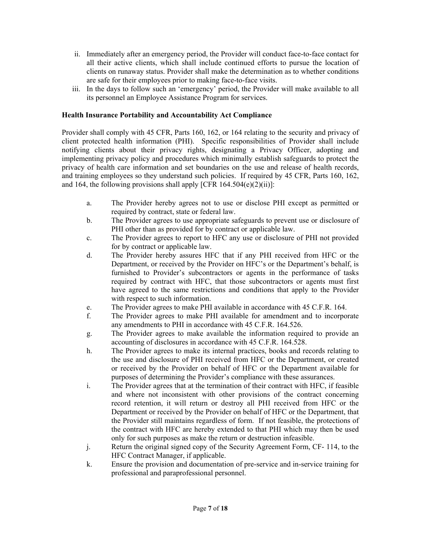- ii. Immediately after an emergency period, the Provider will conduct face-to-face contact for all their active clients, which shall include continued efforts to pursue the location of clients on runaway status. Provider shall make the determination as to whether conditions are safe for their employees prior to making face-to-face visits.
- iii. In the days to follow such an 'emergency' period, the Provider will make available to all its personnel an Employee Assistance Program for services.

# **Health Insurance Portability and Accountability Act Compliance**

Provider shall comply with 45 CFR, Parts 160, 162, or 164 relating to the security and privacy of client protected health information (PHI). Specific responsibilities of Provider shall include notifying clients about their privacy rights, designating a Privacy Officer, adopting and implementing privacy policy and procedures which minimally establish safeguards to protect the privacy of health care information and set boundaries on the use and release of health records, and training employees so they understand such policies. If required by 45 CFR, Parts 160, 162, and 164, the following provisions shall apply [CFR  $164.504(e)(2)(ii)$ ]:

- a. The Provider hereby agrees not to use or disclose PHI except as permitted or required by contract, state or federal law.
- b. The Provider agrees to use appropriate safeguards to prevent use or disclosure of PHI other than as provided for by contract or applicable law.
- c. The Provider agrees to report to HFC any use or disclosure of PHI not provided for by contract or applicable law.
- d. The Provider hereby assures HFC that if any PHI received from HFC or the Department, or received by the Provider on HFC's or the Department's behalf, is furnished to Provider's subcontractors or agents in the performance of tasks required by contract with HFC, that those subcontractors or agents must first have agreed to the same restrictions and conditions that apply to the Provider with respect to such information.
- e. The Provider agrees to make PHI available in accordance with 45 C.F.R. 164.
- f. The Provider agrees to make PHI available for amendment and to incorporate any amendments to PHI in accordance with 45 C.F.R. 164.526.
- g. The Provider agrees to make available the information required to provide an accounting of disclosures in accordance with 45 C.F.R. 164.528.
- h. The Provider agrees to make its internal practices, books and records relating to the use and disclosure of PHI received from HFC or the Department, or created or received by the Provider on behalf of HFC or the Department available for purposes of determining the Provider's compliance with these assurances.
- i. The Provider agrees that at the termination of their contract with HFC, if feasible and where not inconsistent with other provisions of the contract concerning record retention, it will return or destroy all PHI received from HFC or the Department or received by the Provider on behalf of HFC or the Department, that the Provider still maintains regardless of form. If not feasible, the protections of the contract with HFC are hereby extended to that PHI which may then be used only for such purposes as make the return or destruction infeasible.
- j. Return the original signed copy of the Security Agreement Form, CF- 114, to the HFC Contract Manager, if applicable.
- k. Ensure the provision and documentation of pre-service and in-service training for professional and paraprofessional personnel.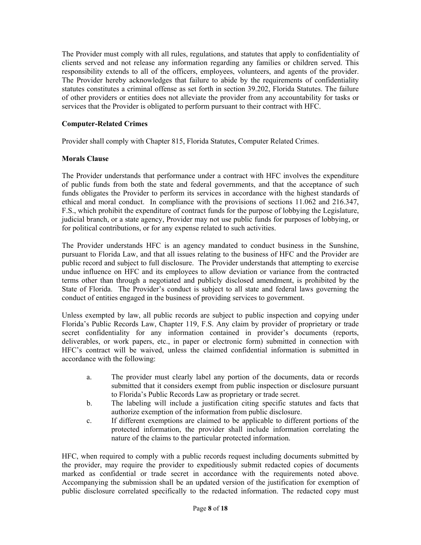The Provider must comply with all rules, regulations, and statutes that apply to confidentiality of clients served and not release any information regarding any families or children served. This responsibility extends to all of the officers, employees, volunteers, and agents of the provider. The Provider hereby acknowledges that failure to abide by the requirements of confidentiality statutes constitutes a criminal offense as set forth in section 39.202, Florida Statutes. The failure of other providers or entities does not alleviate the provider from any accountability for tasks or services that the Provider is obligated to perform pursuant to their contract with HFC.

# **Computer-Related Crimes**

Provider shall comply with Chapter 815, Florida Statutes, Computer Related Crimes.

## **Morals Clause**

The Provider understands that performance under a contract with HFC involves the expenditure of public funds from both the state and federal governments, and that the acceptance of such funds obligates the Provider to perform its services in accordance with the highest standards of ethical and moral conduct. In compliance with the provisions of sections 11.062 and 216.347, F.S., which prohibit the expenditure of contract funds for the purpose of lobbying the Legislature, judicial branch, or a state agency, Provider may not use public funds for purposes of lobbying, or for political contributions, or for any expense related to such activities.

The Provider understands HFC is an agency mandated to conduct business in the Sunshine, pursuant to Florida Law, and that all issues relating to the business of HFC and the Provider are public record and subject to full disclosure. The Provider understands that attempting to exercise undue influence on HFC and its employees to allow deviation or variance from the contracted terms other than through a negotiated and publicly disclosed amendment, is prohibited by the State of Florida. The Provider's conduct is subject to all state and federal laws governing the conduct of entities engaged in the business of providing services to government.

Unless exempted by law, all public records are subject to public inspection and copying under Florida's Public Records Law, Chapter 119, F.S. Any claim by provider of proprietary or trade secret confidentiality for any information contained in provider's documents (reports, deliverables, or work papers, etc., in paper or electronic form) submitted in connection with HFC's contract will be waived, unless the claimed confidential information is submitted in accordance with the following:

- a. The provider must clearly label any portion of the documents, data or records submitted that it considers exempt from public inspection or disclosure pursuant to Florida's Public Records Law as proprietary or trade secret.
- b. The labeling will include a justification citing specific statutes and facts that authorize exemption of the information from public disclosure.
- c. If different exemptions are claimed to be applicable to different portions of the protected information, the provider shall include information correlating the nature of the claims to the particular protected information.

HFC, when required to comply with a public records request including documents submitted by the provider, may require the provider to expeditiously submit redacted copies of documents marked as confidential or trade secret in accordance with the requirements noted above. Accompanying the submission shall be an updated version of the justification for exemption of public disclosure correlated specifically to the redacted information. The redacted copy must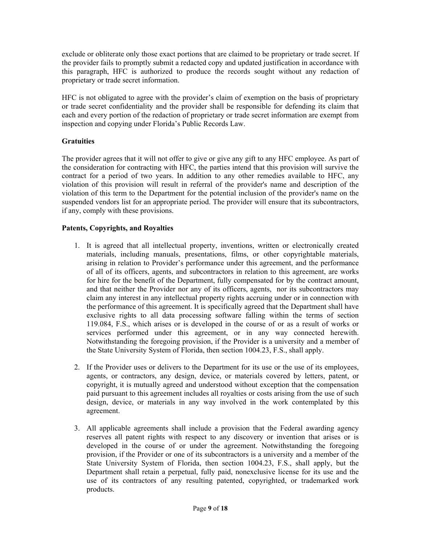exclude or obliterate only those exact portions that are claimed to be proprietary or trade secret. If the provider fails to promptly submit a redacted copy and updated justification in accordance with this paragraph, HFC is authorized to produce the records sought without any redaction of proprietary or trade secret information.

HFC is not obligated to agree with the provider's claim of exemption on the basis of proprietary or trade secret confidentiality and the provider shall be responsible for defending its claim that each and every portion of the redaction of proprietary or trade secret information are exempt from inspection and copying under Florida's Public Records Law.

# **Gratuities**

The provider agrees that it will not offer to give or give any gift to any HFC employee. As part of the consideration for contracting with HFC, the parties intend that this provision will survive the contract for a period of two years. In addition to any other remedies available to HFC, any violation of this provision will result in referral of the provider's name and description of the violation of this term to the Department for the potential inclusion of the provider's name on the suspended vendors list for an appropriate period. The provider will ensure that its subcontractors, if any, comply with these provisions.

# **Patents, Copyrights, and Royalties**

- 1. It is agreed that all intellectual property, inventions, written or electronically created materials, including manuals, presentations, films, or other copyrightable materials, arising in relation to Provider's performance under this agreement, and the performance of all of its officers, agents, and subcontractors in relation to this agreement, are works for hire for the benefit of the Department, fully compensated for by the contract amount, and that neither the Provider nor any of its officers, agents, nor its subcontractors may claim any interest in any intellectual property rights accruing under or in connection with the performance of this agreement. It is specifically agreed that the Department shall have exclusive rights to all data processing software falling within the terms of section 119.084, F.S., which arises or is developed in the course of or as a result of works or services performed under this agreement, or in any way connected herewith. Notwithstanding the foregoing provision, if the Provider is a university and a member of the State University System of Florida, then section 1004.23, F.S., shall apply.
- 2. If the Provider uses or delivers to the Department for its use or the use of its employees, agents, or contractors, any design, device, or materials covered by letters, patent, or copyright, it is mutually agreed and understood without exception that the compensation paid pursuant to this agreement includes all royalties or costs arising from the use of such design, device, or materials in any way involved in the work contemplated by this agreement.
- 3. All applicable agreements shall include a provision that the Federal awarding agency reserves all patent rights with respect to any discovery or invention that arises or is developed in the course of or under the agreement. Notwithstanding the foregoing provision, if the Provider or one of its subcontractors is a university and a member of the State University System of Florida, then section 1004.23, F.S., shall apply, but the Department shall retain a perpetual, fully paid, nonexclusive license for its use and the use of its contractors of any resulting patented, copyrighted, or trademarked work products.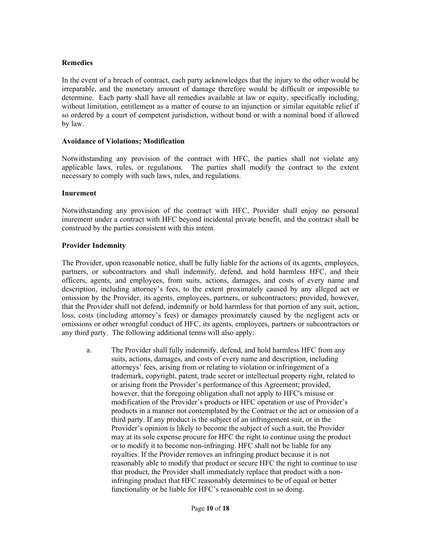## **Remedies**

In the event of a breach of contract, each party acknowledges that the injury to the other would be irreparable, and the monetary amount of damage therefore would be difficult or impossible to determine. Each party shall have all remedies available at law or equity, specifically including, without limitation, entitlement as a matter of course to an injunction or similar equitable relief if so ordered by a court of competent jurisdiction, without bond or with a nominal bond if allowed by law.

#### **Avoidance of Violations; Modification**

Notwithstanding any provision of the contract with HFC, the parties shall not violate any applicable laws, rules, or regulations. The parties shall modify the contract to the extent necessary to comply with such laws, rules, and regulations.

#### **Inurement**

Notwithstanding any provision of the contract with HFC, Provider shall enjoy no personal inurement under a contract with HFC beyond incidental private benefit, and the contract shall be construed by the parties consistent with this intent.

#### **Provider Indemnity**

The Provider, upon reasonable notice, shall be fully liable for the actions of its agents, employees, partners, or subcontractors and shall indemnify, defend, and hold harmless HFC, and their officers, agents, and employees, from suits, actions, damages, and costs of every name and description, including attorney's fees, to the extent proximately caused by any alleged act or omission by the Provider, its agents, employees, partners, or subcontractors; provided, however, that the Provider shall not defend, indemnify or hold harmless for that portion of any suit, action, loss, costs (including attorney's fees) or damages proximately caused by the negligent acts or omissions or other wrongful conduct of HFC, its agents, employees, partners or subcontractors or any third party. The following additional terms will also apply:

a. The Provider shall fully indemnify, defend, and hold harmless HFC from any suits, actions, damages, and costs of every name and description, including attorneys' fees, arising from or relating to violation or infringement of a trademark, copyright, patent, trade secret or intellectual property right, related to or arising from the Provider's performance of this Agreement; provided, however, that the foregoing obligation shall not apply to HFC's misuse or modification of the Provider's products or HFC operation or use of Provider's products in a manner not contemplated by the Contract or the act or omission of a third party. If any product is the subject of an infringement suit, or in the Provider's opinion is likely to become the subject of such a suit, the Provider may at its sole expense procure for HFC the right to continue using the product or to modify it to become non-infringing. HFC shall not be liable for any royalties. If the Provider removes an infringing product because it is not reasonably able to modify that product or secure HFC the right to continue to use that product, the Provider shall immediately replace that product with a noninfringing product that HFC reasonably determines to be of equal or better functionality or be liable for HFC's reasonable cost in so doing.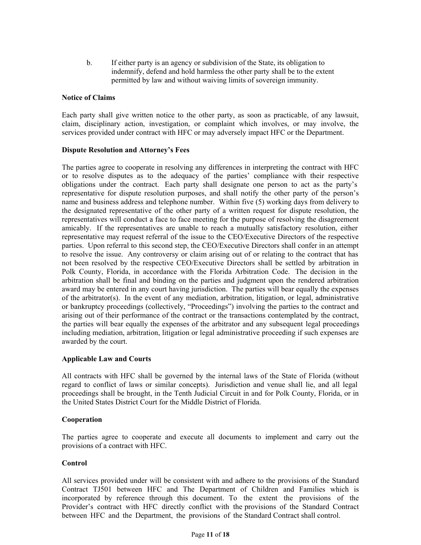b. If either party is an agency or subdivision of the State, its obligation to indemnify, defend and hold harmless the other party shall be to the extent permitted by law and without waiving limits of sovereign immunity.

#### **Notice of Claims**

Each party shall give written notice to the other party, as soon as practicable, of any lawsuit, claim, disciplinary action, investigation, or complaint which involves, or may involve, the services provided under contract with HFC or may adversely impact HFC or the Department.

#### **Dispute Resolution and Attorney's Fees**

The parties agree to cooperate in resolving any differences in interpreting the contract with HFC or to resolve disputes as to the adequacy of the parties' compliance with their respective obligations under the contract. Each party shall designate one person to act as the party's representative for dispute resolution purposes, and shall notify the other party of the person's name and business address and telephone number. Within five (5) working days from delivery to the designated representative of the other party of a written request for dispute resolution, the representatives will conduct a face to face meeting for the purpose of resolving the disagreement amicably. If the representatives are unable to reach a mutually satisfactory resolution, either representative may request referral of the issue to the CEO/Executive Directors of the respective parties. Upon referral to this second step, the CEO/Executive Directors shall confer in an attempt to resolve the issue. Any controversy or claim arising out of or relating to the contract that has not been resolved by the respective CEO/Executive Directors shall be settled by arbitration in Polk County, Florida, in accordance with the Florida Arbitration Code. The decision in the arbitration shall be final and binding on the parties and judgment upon the rendered arbitration award may be entered in any court having jurisdiction. The parties will bear equally the expenses of the arbitrator(s). In the event of any mediation, arbitration, litigation, or legal, administrative or bankruptcy proceedings (collectively, "Proceedings") involving the parties to the contract and arising out of their performance of the contract or the transactions contemplated by the contract, the parties will bear equally the expenses of the arbitrator and any subsequent legal proceedings including mediation, arbitration, litigation or legal administrative proceeding if such expenses are awarded by the court.

#### **Applicable Law and Courts**

All contracts with HFC shall be governed by the internal laws of the State of Florida (without regard to conflict of laws or similar concepts). Jurisdiction and venue shall lie, and all legal proceedings shall be brought, in the Tenth Judicial Circuit in and for Polk County, Florida, or in the United States District Court for the Middle District of Florida.

#### **Cooperation**

The parties agree to cooperate and execute all documents to implement and carry out the provisions of a contract with HFC.

#### **Control**

All services provided under will be consistent with and adhere to the provisions of the Standard Contract TJ501 between HFC and The Department of Children and Families which is incorporated by reference through this document. To the extent the provisions of the Provider's contract with HFC directly conflict with the provisions of the Standard Contract between HFC and the Department, the provisions of the Standard Contract shall control.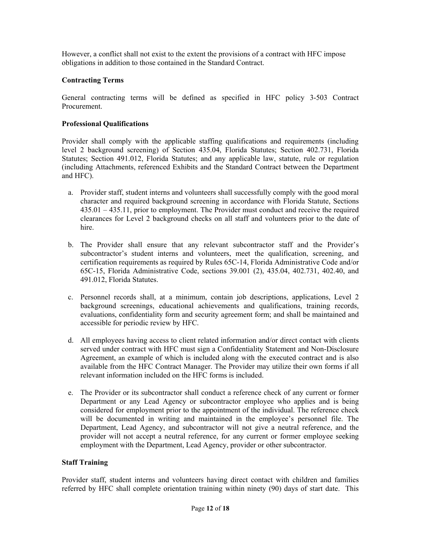However, a conflict shall not exist to the extent the provisions of a contract with HFC impose obligations in addition to those contained in the Standard Contract.

# **Contracting Terms**

General contracting terms will be defined as specified in HFC policy 3-503 Contract Procurement.

## **Professional Qualifications**

Provider shall comply with the applicable staffing qualifications and requirements (including level 2 background screening) of Section 435.04, Florida Statutes; Section 402.731, Florida Statutes; Section 491.012, Florida Statutes; and any applicable law, statute, rule or regulation (including Attachments, referenced Exhibits and the Standard Contract between the Department and HFC).

- a. Provider staff, student interns and volunteers shall successfully comply with the good moral character and required background screening in accordance with Florida Statute, Sections 435.01 – 435.11, prior to employment. The Provider must conduct and receive the required clearances for Level 2 background checks on all staff and volunteers prior to the date of hire.
- b. The Provider shall ensure that any relevant subcontractor staff and the Provider's subcontractor's student interns and volunteers, meet the qualification, screening, and certification requirements as required by Rules 65C-14, Florida Administrative Code and/or 65C-15, Florida Administrative Code, sections 39.001 (2), 435.04, 402.731, 402.40, and 491.012, Florida Statutes.
- c. Personnel records shall, at a minimum, contain job descriptions, applications, Level 2 background screenings, educational achievements and qualifications, training records, evaluations, confidentiality form and security agreement form; and shall be maintained and accessible for periodic review by HFC.
- d. All employees having access to client related information and/or direct contact with clients served under contract with HFC must sign a Confidentiality Statement and Non-Disclosure Agreement, an example of which is included along with the executed contract and is also available from the HFC Contract Manager. The Provider may utilize their own forms if all relevant information included on the HFC forms is included.
- e. The Provider or its subcontractor shall conduct a reference check of any current or former Department or any Lead Agency or subcontractor employee who applies and is being considered for employment prior to the appointment of the individual. The reference check will be documented in writing and maintained in the employee's personnel file. The Department, Lead Agency, and subcontractor will not give a neutral reference, and the provider will not accept a neutral reference, for any current or former employee seeking employment with the Department, Lead Agency, provider or other subcontractor.

# **Staff Training**

Provider staff, student interns and volunteers having direct contact with children and families referred by HFC shall complete orientation training within ninety (90) days of start date. This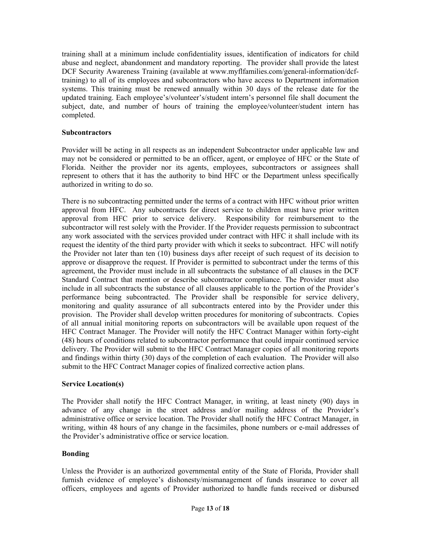training shall at a minimum include confidentiality issues, identification of indicators for child abuse and neglect, abandonment and mandatory reporting. The provider shall provide the latest DCF Security Awareness Training (available at www.myflfamilies.com/general-information/dcftraining) to all of its employees and subcontractors who have access to Department information systems. This training must be renewed annually within 30 days of the release date for the updated training. Each employee's/volunteer's/student intern's personnel file shall document the subject, date, and number of hours of training the employee/volunteer/student intern has completed.

## **Subcontractors**

Provider will be acting in all respects as an independent Subcontractor under applicable law and may not be considered or permitted to be an officer, agent, or employee of HFC or the State of Florida. Neither the provider nor its agents, employees, subcontractors or assignees shall represent to others that it has the authority to bind HFC or the Department unless specifically authorized in writing to do so.

There is no subcontracting permitted under the terms of a contract with HFC without prior written approval from HFC. Any subcontracts for direct service to children must have prior written approval from HFC prior to service delivery. Responsibility for reimbursement to the subcontractor will rest solely with the Provider. If the Provider requests permission to subcontract any work associated with the services provided under contract with HFC it shall include with its request the identity of the third party provider with which it seeks to subcontract. HFC will notify the Provider not later than ten (10) business days after receipt of such request of its decision to approve or disapprove the request. If Provider is permitted to subcontract under the terms of this agreement, the Provider must include in all subcontracts the substance of all clauses in the DCF Standard Contract that mention or describe subcontractor compliance. The Provider must also include in all subcontracts the substance of all clauses applicable to the portion of the Provider's performance being subcontracted. The Provider shall be responsible for service delivery, monitoring and quality assurance of all subcontracts entered into by the Provider under this provision. The Provider shall develop written procedures for monitoring of subcontracts. Copies of all annual initial monitoring reports on subcontractors will be available upon request of the HFC Contract Manager. The Provider will notify the HFC Contract Manager within forty-eight (48) hours of conditions related to subcontractor performance that could impair continued service delivery. The Provider will submit to the HFC Contract Manager copies of all monitoring reports and findings within thirty (30) days of the completion of each evaluation. The Provider will also submit to the HFC Contract Manager copies of finalized corrective action plans.

# **Service Location(s)**

The Provider shall notify the HFC Contract Manager, in writing, at least ninety (90) days in advance of any change in the street address and/or mailing address of the Provider's administrative office or service location. The Provider shall notify the HFC Contract Manager, in writing, within 48 hours of any change in the facsimiles, phone numbers or e-mail addresses of the Provider's administrative office or service location.

#### **Bonding**

Unless the Provider is an authorized governmental entity of the State of Florida, Provider shall furnish evidence of employee's dishonesty/mismanagement of funds insurance to cover all officers, employees and agents of Provider authorized to handle funds received or disbursed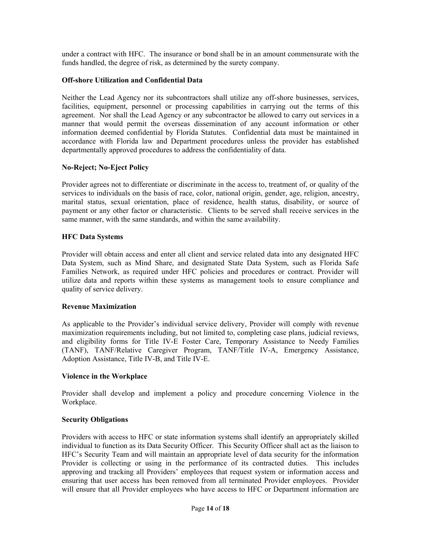under a contract with HFC. The insurance or bond shall be in an amount commensurate with the funds handled, the degree of risk, as determined by the surety company.

## **Off-shore Utilization and Confidential Data**

Neither the Lead Agency nor its subcontractors shall utilize any off-shore businesses, services, facilities, equipment, personnel or processing capabilities in carrying out the terms of this agreement. Nor shall the Lead Agency or any subcontractor be allowed to carry out services in a manner that would permit the overseas dissemination of any account information or other information deemed confidential by Florida Statutes. Confidential data must be maintained in accordance with Florida law and Department procedures unless the provider has established departmentally approved procedures to address the confidentiality of data.

#### **No-Reject; No-Eject Policy**

Provider agrees not to differentiate or discriminate in the access to, treatment of, or quality of the services to individuals on the basis of race, color, national origin, gender, age, religion, ancestry, marital status, sexual orientation, place of residence, health status, disability, or source of payment or any other factor or characteristic. Clients to be served shall receive services in the same manner, with the same standards, and within the same availability.

## **HFC Data Systems**

Provider will obtain access and enter all client and service related data into any designated HFC Data System, such as Mind Share, and designated State Data System, such as Florida Safe Families Network, as required under HFC policies and procedures or contract. Provider will utilize data and reports within these systems as management tools to ensure compliance and quality of service delivery.

#### **Revenue Maximization**

As applicable to the Provider's individual service delivery, Provider will comply with revenue maximization requirements including, but not limited to, completing case plans, judicial reviews, and eligibility forms for Title IV-E Foster Care, Temporary Assistance to Needy Families (TANF), TANF/Relative Caregiver Program, TANF/Title IV-A, Emergency Assistance, Adoption Assistance, Title IV-B, and Title IV-E.

#### **Violence in the Workplace**

Provider shall develop and implement a policy and procedure concerning Violence in the Workplace.

#### **Security Obligations**

Providers with access to HFC or state information systems shall identify an appropriately skilled individual to function as its Data Security Officer. This Security Officer shall act as the liaison to HFC's Security Team and will maintain an appropriate level of data security for the information Provider is collecting or using in the performance of its contracted duties. This includes approving and tracking all Providers' employees that request system or information access and ensuring that user access has been removed from all terminated Provider employees. Provider will ensure that all Provider employees who have access to HFC or Department information are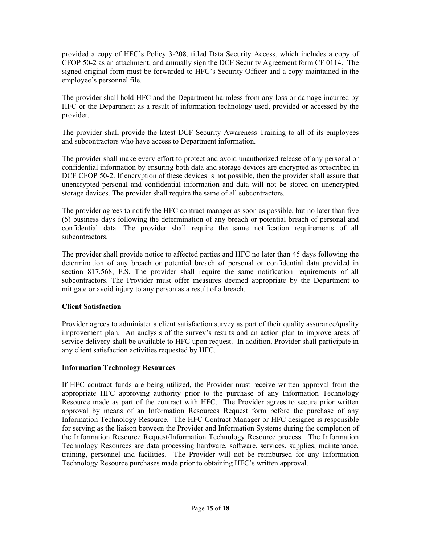provided a copy of HFC's Policy 3-208, titled Data Security Access, which includes a copy of CFOP 50-2 as an attachment, and annually sign the DCF Security Agreement form CF 0114. The signed original form must be forwarded to HFC's Security Officer and a copy maintained in the employee's personnel file.

The provider shall hold HFC and the Department harmless from any loss or damage incurred by HFC or the Department as a result of information technology used, provided or accessed by the provider.

The provider shall provide the latest DCF Security Awareness Training to all of its employees and subcontractors who have access to Department information.

The provider shall make every effort to protect and avoid unauthorized release of any personal or confidential information by ensuring both data and storage devices are encrypted as prescribed in DCF CFOP 50-2. If encryption of these devices is not possible, then the provider shall assure that unencrypted personal and confidential information and data will not be stored on unencrypted storage devices. The provider shall require the same of all subcontractors.

The provider agrees to notify the HFC contract manager as soon as possible, but no later than five (5) business days following the determination of any breach or potential breach of personal and confidential data. The provider shall require the same notification requirements of all subcontractors.

The provider shall provide notice to affected parties and HFC no later than 45 days following the determination of any breach or potential breach of personal or confidential data provided in section 817.568, F.S. The provider shall require the same notification requirements of all subcontractors. The Provider must offer measures deemed appropriate by the Department to mitigate or avoid injury to any person as a result of a breach.

# **Client Satisfaction**

Provider agrees to administer a client satisfaction survey as part of their quality assurance/quality improvement plan. An analysis of the survey's results and an action plan to improve areas of service delivery shall be available to HFC upon request. In addition, Provider shall participate in any client satisfaction activities requested by HFC.

# **Information Technology Resources**

If HFC contract funds are being utilized, the Provider must receive written approval from the appropriate HFC approving authority prior to the purchase of any Information Technology Resource made as part of the contract with HFC. The Provider agrees to secure prior written approval by means of an Information Resources Request form before the purchase of any Information Technology Resource. The HFC Contract Manager or HFC designee is responsible for serving as the liaison between the Provider and Information Systems during the completion of the Information Resource Request/Information Technology Resource process. The Information Technology Resources are data processing hardware, software, services, supplies, maintenance, training, personnel and facilities. The Provider will not be reimbursed for any Information Technology Resource purchases made prior to obtaining HFC's written approval.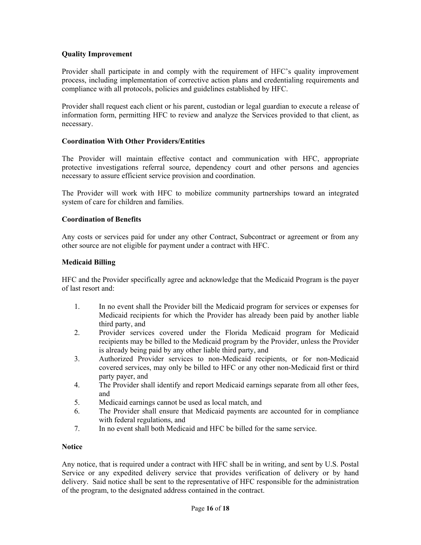# **Quality Improvement**

Provider shall participate in and comply with the requirement of HFC's quality improvement process, including implementation of corrective action plans and credentialing requirements and compliance with all protocols, policies and guidelines established by HFC.

Provider shall request each client or his parent, custodian or legal guardian to execute a release of information form, permitting HFC to review and analyze the Services provided to that client, as necessary.

#### **Coordination With Other Providers/Entities**

The Provider will maintain effective contact and communication with HFC, appropriate protective investigations referral source, dependency court and other persons and agencies necessary to assure efficient service provision and coordination.

The Provider will work with HFC to mobilize community partnerships toward an integrated system of care for children and families.

#### **Coordination of Benefits**

Any costs or services paid for under any other Contract, Subcontract or agreement or from any other source are not eligible for payment under a contract with HFC.

#### **Medicaid Billing**

HFC and the Provider specifically agree and acknowledge that the Medicaid Program is the payer of last resort and:

- 1. In no event shall the Provider bill the Medicaid program for services or expenses for Medicaid recipients for which the Provider has already been paid by another liable third party, and
- 2. Provider services covered under the Florida Medicaid program for Medicaid recipients may be billed to the Medicaid program by the Provider, unless the Provider is already being paid by any other liable third party, and
- 3. Authorized Provider services to non-Medicaid recipients, or for non-Medicaid covered services, may only be billed to HFC or any other non-Medicaid first or third party payer, and
- 4. The Provider shall identify and report Medicaid earnings separate from all other fees, and
- 5. Medicaid earnings cannot be used as local match, and
- 6. The Provider shall ensure that Medicaid payments are accounted for in compliance with federal regulations, and
- 7. In no event shall both Medicaid and HFC be billed for the same service.

#### **Notice**

Any notice, that is required under a contract with HFC shall be in writing, and sent by U.S. Postal Service or any expedited delivery service that provides verification of delivery or by hand delivery. Said notice shall be sent to the representative of HFC responsible for the administration of the program, to the designated address contained in the contract.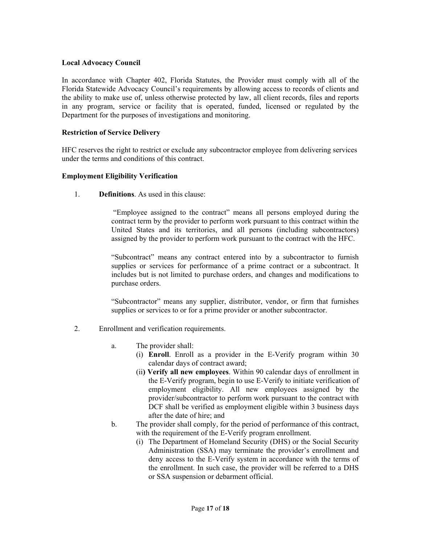## **Local Advocacy Council**

In accordance with Chapter 402, Florida Statutes, the Provider must comply with all of the Florida Statewide Advocacy Council's requirements by allowing access to records of clients and the ability to make use of, unless otherwise protected by law, all client records, files and reports in any program, service or facility that is operated, funded, licensed or regulated by the Department for the purposes of investigations and monitoring.

## **Restriction of Service Delivery**

HFC reserves the right to restrict or exclude any subcontractor employee from delivering services under the terms and conditions of this contract.

#### **Employment Eligibility Verification**

1. **Definitions**. As used in this clause:

 "Employee assigned to the contract" means all persons employed during the contract term by the provider to perform work pursuant to this contract within the United States and its territories, and all persons (including subcontractors) assigned by the provider to perform work pursuant to the contract with the HFC.

"Subcontract" means any contract entered into by a subcontractor to furnish supplies or services for performance of a prime contract or a subcontract. It includes but is not limited to purchase orders, and changes and modifications to purchase orders.

"Subcontractor" means any supplier, distributor, vendor, or firm that furnishes supplies or services to or for a prime provider or another subcontractor.

- 2. Enrollment and verification requirements.
	- a. The provider shall:
		- (i) **Enroll**. Enroll as a provider in the E-Verify program within 30 calendar days of contract award;
		- (ii**) Verify all new employees**. Within 90 calendar days of enrollment in the E-Verify program, begin to use E-Verify to initiate verification of employment eligibility. All new employees assigned by the provider/subcontractor to perform work pursuant to the contract with DCF shall be verified as employment eligible within 3 business days after the date of hire; and
	- b. The provider shall comply, for the period of performance of this contract, with the requirement of the E-Verify program enrollment.
		- (i) The Department of Homeland Security (DHS) or the Social Security Administration (SSA) may terminate the provider's enrollment and deny access to the E-Verify system in accordance with the terms of the enrollment. In such case, the provider will be referred to a DHS or SSA suspension or debarment official.